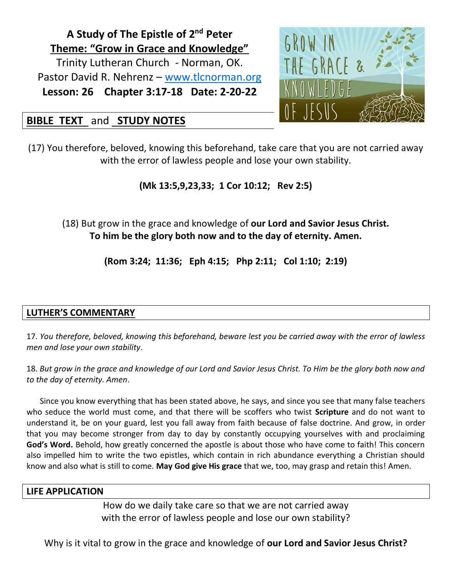**A Study of The Epistle of 2<sup>nd</sup> Peter Theme: "Grow in Grace and Knowledge"** Trinity Lutheran Church - Norman, OK. Pastor David R. Nehrenz – [www.tlcnorman.org](http://www.tlcnorman.org/) **Lesson: 26 Chapter 3:17-18 Date: 2-20-22**



# **BIBLE TEXT** and **STUDY NOTES**

(17) You therefore, beloved, knowing this beforehand, take care that you are not carried away with the error of lawless people and lose your own stability.

**(Mk 13:5,9,23,33; 1 Cor 10:12; Rev 2:5)**

(18) But grow in the grace and knowledge of **our Lord and Savior Jesus Christ. To him be the glory both now and to the day of eternity. Amen.**

**(Rom 3:24; 11:36; Eph 4:15; Php 2:11; Col 1:10; 2:19)**

## **LUTHER'S COMMENTARY**

17. *You therefore, beloved, knowing this beforehand, beware lest you be carried away with the error of lawless men and lose your own stability*.

18. *But grow in the grace and knowledge of our Lord and Savior Jesus Christ. To Him be the glory both now and to the day of eternity. Amen*.

Since you know everything that has been stated above, he says, and since you see that many false teachers who seduce the world must come, and that there will be scoffers who twist **Scripture** and do not want to understand it, be on your guard, lest you fall away from faith because of false doctrine. And grow, in order that you may become stronger from day to day by constantly occupying yourselves with and proclaiming **God's Word.** Behold, how greatly concerned the apostle is about those who have come to faith! This concern also impelled him to write the two epistles, which contain in rich abundance everything a Christian should know and also what is still to come. **May God give His grace** that we, too, may grasp and retain this! Amen.

#### **LIFE APPLICATION**

How do we daily take care so that we are not carried away with the error of lawless people and lose our own stability?

Why is it vital to grow in the grace and knowledge of **our Lord and Savior Jesus Christ?**